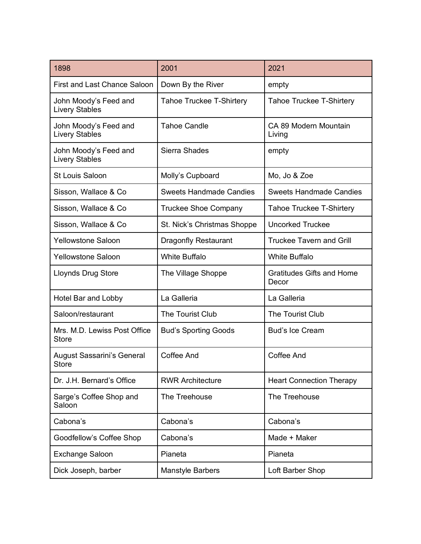| 1898                                           | 2001                            | 2021                                      |
|------------------------------------------------|---------------------------------|-------------------------------------------|
| First and Last Chance Saloon                   | Down By the River               | empty                                     |
| John Moody's Feed and<br><b>Livery Stables</b> | <b>Tahoe Truckee T-Shirtery</b> | <b>Tahoe Truckee T-Shirtery</b>           |
| John Moody's Feed and<br><b>Livery Stables</b> | <b>Tahoe Candle</b>             | CA 89 Modern Mountain<br>Living           |
| John Moody's Feed and<br><b>Livery Stables</b> | Sierra Shades                   | empty                                     |
| <b>St Louis Saloon</b>                         | Molly's Cupboard                | Mo, Jo & Zoe                              |
| Sisson, Wallace & Co                           | <b>Sweets Handmade Candies</b>  | <b>Sweets Handmade Candies</b>            |
| Sisson, Wallace & Co                           | <b>Truckee Shoe Company</b>     | <b>Tahoe Truckee T-Shirtery</b>           |
| Sisson, Wallace & Co                           | St. Nick's Christmas Shoppe     | <b>Uncorked Truckee</b>                   |
| <b>Yellowstone Saloon</b>                      | <b>Dragonfly Restaurant</b>     | <b>Truckee Tavern and Grill</b>           |
| <b>Yellowstone Saloon</b>                      | <b>White Buffalo</b>            | <b>White Buffalo</b>                      |
| <b>Lloynds Drug Store</b>                      | The Village Shoppe              | <b>Gratitudes Gifts and Home</b><br>Decor |
| Hotel Bar and Lobby                            | La Galleria                     | La Galleria                               |
| Saloon/restaurant                              | The Tourist Club                | The Tourist Club                          |
| Mrs. M.D. Lewiss Post Office<br><b>Store</b>   | <b>Bud's Sporting Goods</b>     | <b>Bud's Ice Cream</b>                    |
| <b>August Sassarini's General</b><br>Store     | <b>Coffee And</b>               | Coffee And                                |
| Dr. J.H. Bernard's Office                      | <b>RWR Architecture</b>         | <b>Heart Connection Therapy</b>           |
| Sarge's Coffee Shop and<br>Saloon              | The Treehouse                   | The Treehouse                             |
| Cabona's                                       | Cabona's                        | Cabona's                                  |
| Goodfellow's Coffee Shop                       | Cabona's                        | Made + Maker                              |
| <b>Exchange Saloon</b>                         | Pianeta                         | Pianeta                                   |
| Dick Joseph, barber                            | <b>Manstyle Barbers</b>         | Loft Barber Shop                          |